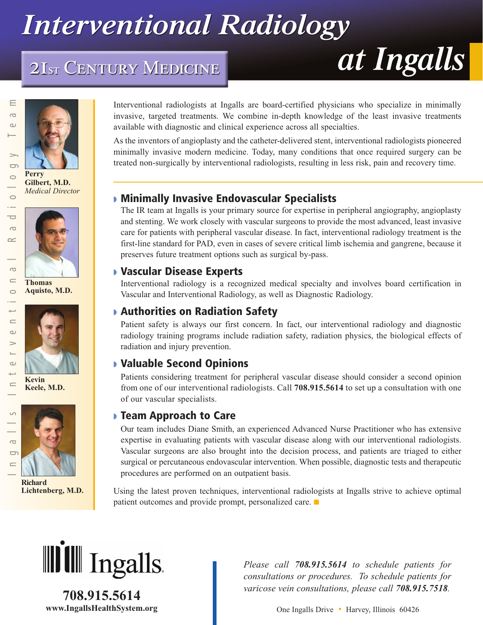## **Interventional Radiology**

## 2IST CENTURY MEDICINE







**Thomas Aquisto, M.D.**



 $\omega$ 

 $\geq$ 

 $\omega$ ىپ  $\subseteq$ 

 $\circ$ 

 $\overline{C}$ 

 $\equiv$ 

 $\overline{\phantom{0}}$  $\subset$ 

 $\overline{\bullet}$  $\overline{a}$  $\sim$ 

> $\overline{C}$  $\equiv$  $\circ$

**Kevin Keele, M.D.**



**Richard Lichtenberg, M.D.**

Interventional radiologists at Ingalls are board-certified physicians who specialize in minimally invasive, targeted treatments. We combine in-depth knowledge of the least invasive treatments available with diagnostic and clinical experience across all specialties.

As the inventors of angioplasty and the catheter-delivered stent, interventional radiologists pioneered minimally invasive modern medicine. Today, many conditions that once required surgery can be treated non-surgically by interventional radiologists, resulting in less risk, pain and recovery time.

## **◗ Minimally Invasive Endovascular Specialists**

The IR team at Ingalls is your primary source for expertise in peripheral angiography, angioplasty and stenting. We work closely with vascular surgeons to provide the most advanced, least invasive care for patients with peripheral vascular disease. In fact, interventional radiology treatment is the first-line standard for PAD, even in cases of severe critical limb ischemia and gangrene, because it preserves future treatment options such as surgical by-pass.

#### **◗ Vascular Disease Experts**

Interventional radiology is a recognized medical specialty and involves board certification in Vascular and Interventional Radiology, as well as Diagnostic Radiology.

## **◗ Authorities on Radiation Safety**

Patient safety is always our first concern. In fact, our interventional radiology and diagnostic radiology training programs include radiation safety, radiation physics, the biological effects of radiation and injury prevention.

#### **◗ Valuable Second Opinions**

Patients considering treatment for peripheral vascular disease should consider a second opinion from one of our interventional radiologists. Call **708.915.5614** to set up a consultation with one of our vascular specialists.

#### **◗ Team Approach to Care**

Our team includes Diane Smith, an experienced Advanced Nurse Practitioner who has extensive expertise in evaluating patients with vascular disease along with our interventional radiologists. Vascular surgeons are also brought into the decision process, and patients are triaged to either surgical or percutaneous endovascular intervention. When possible, diagnostic tests and therapeutic procedures are performed on an outpatient basis.

Using the latest proven techniques, interventional radiologists at Ingalls strive to achieve optimal patient outcomes and provide prompt, personalized care. **■**



**708.915.5614**

*Please call 708.915.5614 to schedule patients for consultations or procedures. To schedule patients for varicose vein consultations, please call 708.915.7518.*

**www.IngallsHealthSystem.org** One Ingalls Drive • Harvey, Illinois 60426